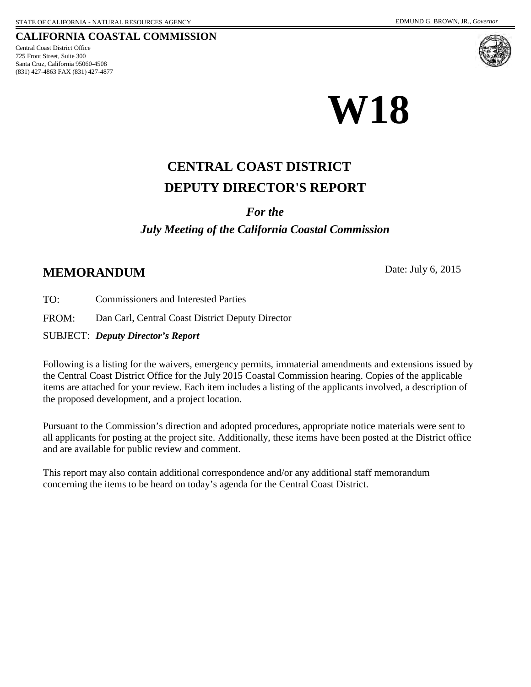#### **CALIFORNIA COASTAL COMMISSION**

725 Front Street, Suite 300 Santa Cruz, California 95060-4508 (831) 427-4863 FAX (831) 427-4877 Central Coast District Office





# **W18**

## **DEPUTY DIRECTOR'S REPORT CENTRAL COAST DISTRICT**

#### *For the*

## *July Meeting of the California Coastal Commission*

## **MEMORANDUM** Date: July 6, 2015

TO: Commissioners and Interested Parties

FROM: Dan Carl, Central Coast District Deputy Director

SUBJECT: *Deputy Director's Report*

Following is a listing for the waivers, emergency permits, immaterial amendments and extensions issued by the Central Coast District Office for the July 2015 Coastal Commission hearing. Copies of the applicable items are attached for your review. Each item includes a listing of the applicants involved, a description of the proposed development, and a project location.

Pursuant to the Commission's direction and adopted procedures, appropriate notice materials were sent to all applicants for posting at the project site. Additionally, these items have been posted at the District office and are available for public review and comment.

This report may also contain additional correspondence and/or any additional staff memorandum concerning the items to be heard on today's agenda for the Central Coast District.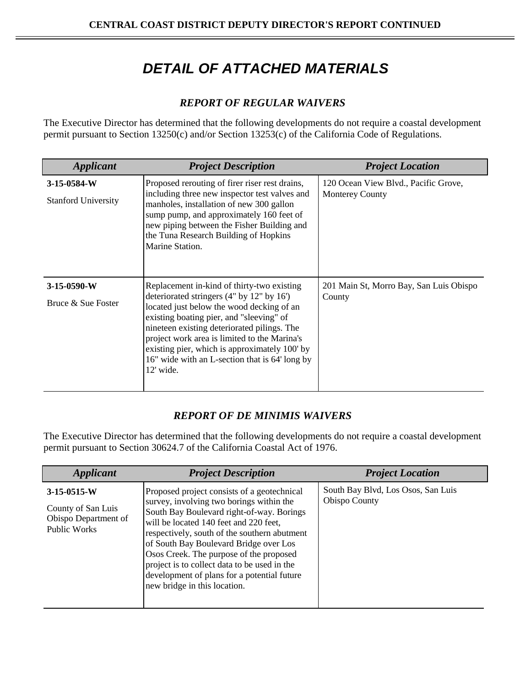## *DETAIL OF ATTACHED MATERIALS*

### *REPORT OF REGULAR WAIVERS*

The Executive Director has determined that the following developments do not require a coastal development permit pursuant to Section 13250(c) and/or Section 13253(c) of the California Code of Regulations.

| <b>Applicant</b>                            | <b>Project Description</b>                                                                                                                                                                                                                                                                                                                                                                      | <b>Project Location</b>                                        |
|---------------------------------------------|-------------------------------------------------------------------------------------------------------------------------------------------------------------------------------------------------------------------------------------------------------------------------------------------------------------------------------------------------------------------------------------------------|----------------------------------------------------------------|
| $3-15-0584-W$<br><b>Stanford University</b> | Proposed rerouting of firer riser rest drains,<br>including three new inspector test valves and<br>manholes, installation of new 300 gallon<br>sump pump, and approximately 160 feet of<br>new piping between the Fisher Building and<br>the Tuna Research Building of Hopkins<br>Marine Station.                                                                                               | 120 Ocean View Blvd., Pacific Grove,<br><b>Monterey County</b> |
| $3-15-0590-W$<br>Bruce & Sue Foster         | Replacement in-kind of thirty-two existing<br>deteriorated stringers (4" by 12" by 16")<br>located just below the wood decking of an<br>existing boating pier, and "sleeving" of<br>nineteen existing deteriorated pilings. The<br>project work area is limited to the Marina's<br>existing pier, which is approximately 100' by<br>16" wide with an L-section that is 64' long by<br>12' wide. | 201 Main St, Morro Bay, San Luis Obispo<br>County              |

#### *REPORT OF DE MINIMIS WAIVERS*

The Executive Director has determined that the following developments do not require a coastal development permit pursuant to Section 30624.7 of the California Coastal Act of 1976.

| <b>Applicant</b>                                                                   | <b>Project Description</b>                                                                                                                                                                                                                                                                                                                                                                                                                         | <b>Project Location</b>                                    |
|------------------------------------------------------------------------------------|----------------------------------------------------------------------------------------------------------------------------------------------------------------------------------------------------------------------------------------------------------------------------------------------------------------------------------------------------------------------------------------------------------------------------------------------------|------------------------------------------------------------|
| $3-15-0515-W$<br>County of San Luis<br>Obispo Department of<br><b>Public Works</b> | Proposed project consists of a geotechnical<br>survey, involving two borings within the<br>South Bay Boulevard right-of-way. Borings<br>will be located 140 feet and 220 feet,<br>respectively, south of the southern abutment<br>of South Bay Boulevard Bridge over Los<br>Osos Creek. The purpose of the proposed<br>project is to collect data to be used in the<br>development of plans for a potential future<br>new bridge in this location. | South Bay Blvd, Los Osos, San Luis<br><b>Obispo County</b> |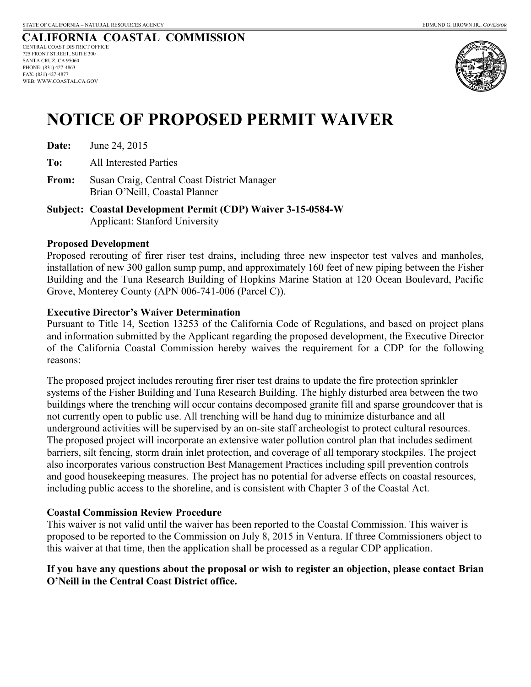#### **CALIFORNIA COASTAL COMMISSION** CENTRAL COAST DISTRICT OFFICE 725 FRONT STREET, SUITE 300 SANTA CRUZ, CA 95060 PHONE: (831) 427-4863 FAX: (831) 427-4877 WEB: WWW.COASTAL.CA.GOV



# **NOTICE OF PROPOSED PERMIT WAIVER**

**Date:** June 24, 2015

**To:** All Interested Parties

- **From:** Susan Craig, Central Coast District Manager Brian O'Neill, Coastal Planner
- **Subject: Coastal Development Permit (CDP) Waiver 3-15-0584-W**  Applicant: Stanford University

#### **Proposed Development**

Proposed rerouting of firer riser test drains, including three new inspector test valves and manholes, installation of new 300 gallon sump pump, and approximately 160 feet of new piping between the Fisher Building and the Tuna Research Building of Hopkins Marine Station at 120 Ocean Boulevard, Pacific Grove, Monterey County (APN 006-741-006 (Parcel C)).

#### **Executive Director's Waiver Determination**

Pursuant to Title 14, Section 13253 of the California Code of Regulations, and based on project plans and information submitted by the Applicant regarding the proposed development, the Executive Director of the California Coastal Commission hereby waives the requirement for a CDP for the following reasons:

The proposed project includes rerouting firer riser test drains to update the fire protection sprinkler systems of the Fisher Building and Tuna Research Building. The highly disturbed area between the two buildings where the trenching will occur contains decomposed granite fill and sparse groundcover that is not currently open to public use. All trenching will be hand dug to minimize disturbance and all underground activities will be supervised by an on-site staff archeologist to protect cultural resources. The proposed project will incorporate an extensive water pollution control plan that includes sediment barriers, silt fencing, storm drain inlet protection, and coverage of all temporary stockpiles. The project also incorporates various construction Best Management Practices including spill prevention controls and good housekeeping measures. The project has no potential for adverse effects on coastal resources, including public access to the shoreline, and is consistent with Chapter 3 of the Coastal Act.

#### **Coastal Commission Review Procedure**

This waiver is not valid until the waiver has been reported to the Coastal Commission. This waiver is proposed to be reported to the Commission on July 8, 2015 in Ventura. If three Commissioners object to this waiver at that time, then the application shall be processed as a regular CDP application.

#### **If you have any questions about the proposal or wish to register an objection, please contact Brian O'Neill in the Central Coast District office.**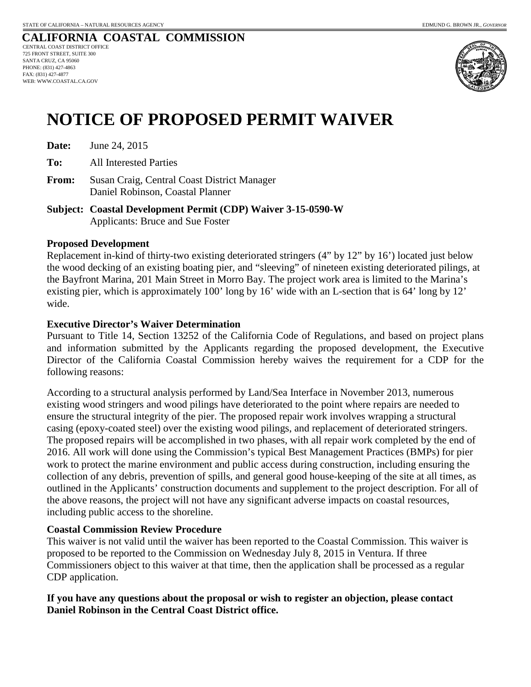#### **CALIFORNIA COASTAL COMMISSION** CENTRAL COAST DISTRICT OFFICE 725 FRONT STREET, SUITE 300 SANTA CRUZ, CA 95060 PHONE: (831) 427-4863 FAX: (831) 427-4877 WEB: WWW.COASTAL.CA.GOV



# **NOTICE OF PROPOSED PERMIT WAIVER**

**Date:** June 24, 2015

**To:** All Interested Parties

**From:** Susan Craig, Central Coast District Manager Daniel Robinson, Coastal Planner

**Subject: Coastal Development Permit (CDP) Waiver 3-15-0590-W**  Applicants: Bruce and Sue Foster

#### **Proposed Development**

Replacement in-kind of thirty-two existing deteriorated stringers (4" by 12" by 16') located just below the wood decking of an existing boating pier, and "sleeving" of nineteen existing deteriorated pilings, at the Bayfront Marina, 201 Main Street in Morro Bay. The project work area is limited to the Marina's existing pier, which is approximately 100' long by 16' wide with an L-section that is 64' long by 12' wide.

#### **Executive Director's Waiver Determination**

Pursuant to Title 14, Section 13252 of the California Code of Regulations, and based on project plans and information submitted by the Applicants regarding the proposed development, the Executive Director of the California Coastal Commission hereby waives the requirement for a CDP for the following reasons:

According to a structural analysis performed by Land/Sea Interface in November 2013, numerous existing wood stringers and wood pilings have deteriorated to the point where repairs are needed to ensure the structural integrity of the pier. The proposed repair work involves wrapping a structural casing (epoxy-coated steel) over the existing wood pilings, and replacement of deteriorated stringers. The proposed repairs will be accomplished in two phases, with all repair work completed by the end of 2016. All work will done using the Commission's typical Best Management Practices (BMPs) for pier work to protect the marine environment and public access during construction, including ensuring the collection of any debris, prevention of spills, and general good house-keeping of the site at all times, as outlined in the Applicants' construction documents and supplement to the project description. For all of the above reasons, the project will not have any significant adverse impacts on coastal resources, including public access to the shoreline.

#### **Coastal Commission Review Procedure**

This waiver is not valid until the waiver has been reported to the Coastal Commission. This waiver is proposed to be reported to the Commission on Wednesday July 8, 2015 in Ventura. If three Commissioners object to this waiver at that time, then the application shall be processed as a regular CDP application.

#### **If you have any questions about the proposal or wish to register an objection, please contact Daniel Robinson in the Central Coast District office.**